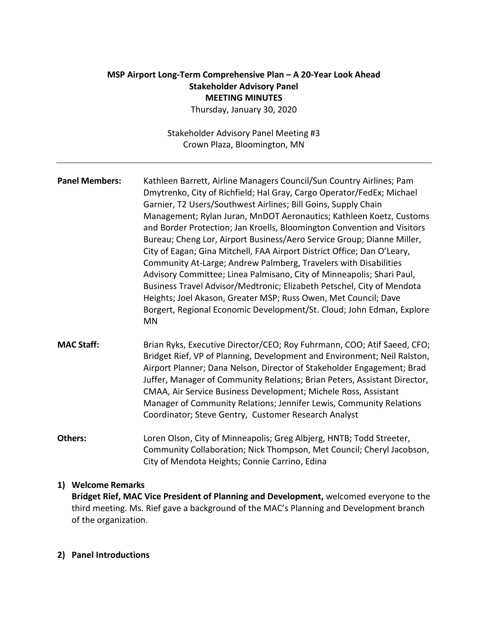# **MSP Airport Long-Term Comprehensive Plan – A 20-Year Look Ahead Stakeholder Advisory Panel MEETING MINUTES**

Thursday, January 30, 2020

Stakeholder Advisory Panel Meeting #3 Crown Plaza, Bloomington, MN

**Panel Members:** Kathleen Barrett, Airline Managers Council/Sun Country Airlines; Pam Dmytrenko, City of Richfield; Hal Gray, Cargo Operator/FedEx; Michael Garnier, T2 Users/Southwest Airlines; Bill Goins, Supply Chain Management; Rylan Juran, MnDOT Aeronautics; Kathleen Koetz, Customs and Border Protection; Jan Kroells, Bloomington Convention and Visitors Bureau; Cheng Lor, Airport Business/Aero Service Group; Dianne Miller, City of Eagan; Gina Mitchell, FAA Airport District Office; Dan O'Leary, Community At-Large; Andrew Palmberg, Travelers with Disabilities Advisory Committee; Linea Palmisano, City of Minneapolis; Shari Paul, Business Travel Advisor/Medtronic; Elizabeth Petschel, City of Mendota Heights; Joel Akason, Greater MSP; Russ Owen, Met Council; Dave Borgert, Regional Economic Development/St. Cloud; John Edman, Explore MN

- **MAC Staff:** Brian Ryks, Executive Director/CEO; Roy Fuhrmann, COO; Atif Saeed, CFO; Bridget Rief, VP of Planning, Development and Environment; Neil Ralston, Airport Planner; Dana Nelson, Director of Stakeholder Engagement; Brad Juffer, Manager of Community Relations; Brian Peters, Assistant Director, CMAA, Air Service Business Development; Michele Ross, Assistant Manager of Community Relations; Jennifer Lewis, Community Relations Coordinator; Steve Gentry, Customer Research Analyst
- **Others:** Loren Olson, City of Minneapolis; Greg Albjerg, HNTB; Todd Streeter, Community Collaboration; Nick Thompson, Met Council; Cheryl Jacobson, City of Mendota Heights; Connie Carrino, Edina

### **1) Welcome Remarks**

**Bridget Rief, MAC Vice President of Planning and Development,** welcomed everyone to the third meeting. Ms. Rief gave a background of the MAC's Planning and Development branch of the organization.

#### **2) Panel Introductions**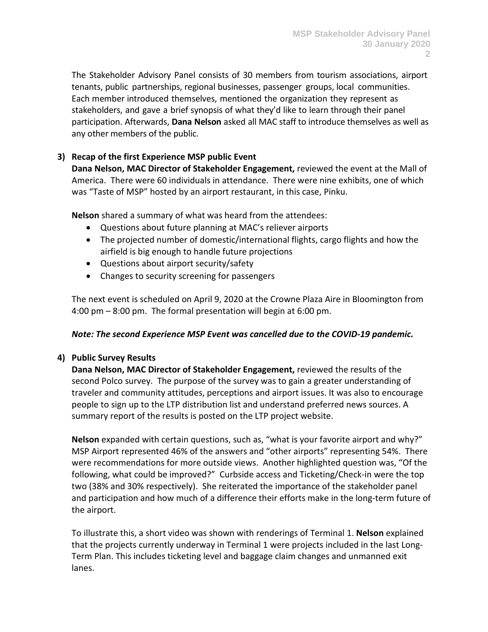The Stakeholder Advisory Panel consists of 30 members from tourism associations, airport tenants, public partnerships, regional businesses, passenger groups, local communities. Each member introduced themselves, mentioned the organization they represent as stakeholders, and gave a brief synopsis of what they'd like to learn through their panel participation. Afterwards, **Dana Nelson** asked all MAC staff to introduce themselves as well as any other members of the public.

# **3) Recap of the first Experience MSP public Event**

**Dana Nelson, MAC Director of Stakeholder Engagement,** reviewed the event at the Mall of America. There were 60 individuals in attendance. There were nine exhibits, one of which was "Taste of MSP" hosted by an airport restaurant, in this case, Pinku.

**Nelson** shared a summary of what was heard from the attendees:

- Questions about future planning at MAC's reliever airports
- The projected number of domestic/international flights, cargo flights and how the airfield is big enough to handle future projections
- Questions about airport security/safety
- Changes to security screening for passengers

The next event is scheduled on April 9, 2020 at the Crowne Plaza Aire in Bloomington from 4:00 pm – 8:00 pm. The formal presentation will begin at 6:00 pm.

### *Note: The second Experience MSP Event was cancelled due to the COVID-19 pandemic.*

# **4) Public Survey Results**

**Dana Nelson, MAC Director of Stakeholder Engagement,** reviewed the results of the second Polco survey. The purpose of the survey was to gain a greater understanding of traveler and community attitudes, perceptions and airport issues. It was also to encourage people to sign up to the LTP distribution list and understand preferred news sources. A summary report of the results is posted on the LTP project website.

**Nelson** expanded with certain questions, such as, "what is your favorite airport and why?" MSP Airport represented 46% of the answers and "other airports" representing 54%. There were recommendations for more outside views. Another highlighted question was, "Of the following, what could be improved?" Curbside access and Ticketing/Check-in were the top two (38% and 30% respectively). She reiterated the importance of the stakeholder panel and participation and how much of a difference their efforts make in the long-term future of the airport.

To illustrate this, a short video was shown with renderings of Terminal 1. **Nelson** explained that the projects currently underway in Terminal 1 were projects included in the last Long-Term Plan. This includes ticketing level and baggage claim changes and unmanned exit lanes.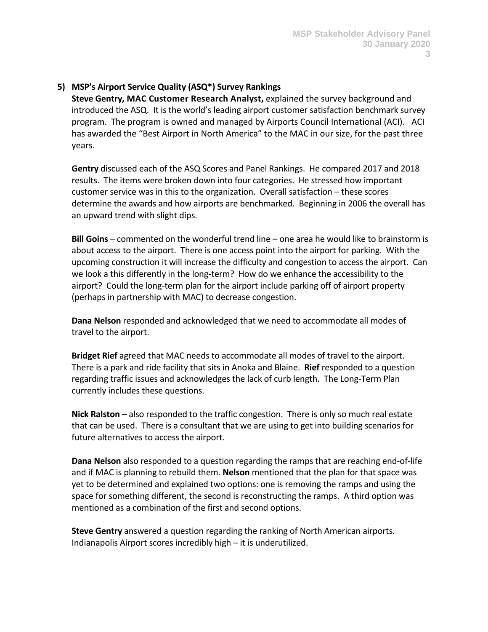# **5) MSP's Airport Service Quality (ASQ\*) Survey Rankings**

**Steve Gentry, MAC Customer Research Analyst,** explained the survey background and introduced the ASQ. It is the world's leading airport customer satisfaction benchmark survey program. The program is owned and managed by Airports Council International (ACI). ACI has awarded the "Best Airport in North America" to the MAC in our size, for the past three years.

**Gentry** discussed each of the ASQ Scores and Panel Rankings. He compared 2017 and 2018 results. The items were broken down into four categories. He stressed how important customer service was in this to the organization. Overall satisfaction – these scores determine the awards and how airports are benchmarked. Beginning in 2006 the overall has an upward trend with slight dips.

**Bill Goins** – commented on the wonderful trend line – one area he would like to brainstorm is about access to the airport. There is one access point into the airport for parking. With the upcoming construction it will increase the difficulty and congestion to access the airport. Can we look a this differently in the long-term? How do we enhance the accessibility to the airport? Could the long-term plan for the airport include parking off of airport property (perhaps in partnership with MAC) to decrease congestion.

**Dana Nelson** responded and acknowledged that we need to accommodate all modes of travel to the airport.

**Bridget Rief** agreed that MAC needs to accommodate all modes of travel to the airport. There is a park and ride facility that sits in Anoka and Blaine. **Rief** responded to a question regarding traffic issues and acknowledges the lack of curb length. The Long-Term Plan currently includes these questions.

**Nick Ralston** – also responded to the traffic congestion. There is only so much real estate that can be used. There is a consultant that we are using to get into building scenarios for future alternatives to access the airport.

**Dana Nelson** also responded to a question regarding the ramps that are reaching end-of-life and if MAC is planning to rebuild them. **Nelson** mentioned that the plan for that space was yet to be determined and explained two options: one is removing the ramps and using the space for something different, the second is reconstructing the ramps. A third option was mentioned as a combination of the first and second options.

**Steve Gentry** answered a question regarding the ranking of North American airports. Indianapolis Airport scores incredibly high – it is underutilized.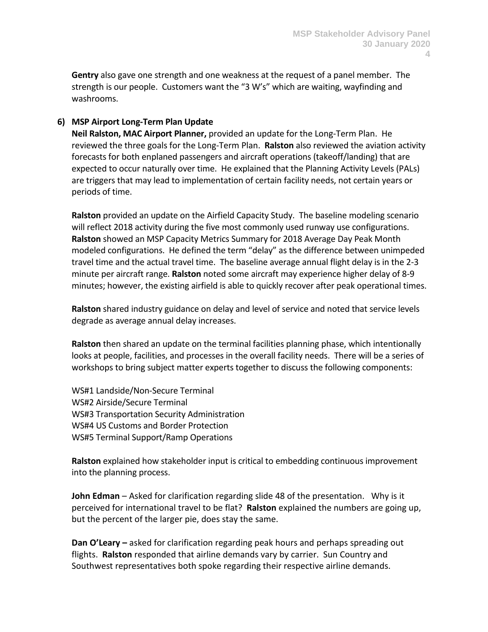**Gentry** also gave one strength and one weakness at the request of a panel member. The strength is our people. Customers want the "3 W's" which are waiting, wayfinding and washrooms.

# **6) MSP Airport Long-Term Plan Update**

**Neil Ralston, MAC Airport Planner,** provided an update for the Long-Term Plan. He reviewed the three goals for the Long-Term Plan. **Ralston** also reviewed the aviation activity forecasts for both enplaned passengers and aircraft operations (takeoff/landing) that are expected to occur naturally over time. He explained that the Planning Activity Levels (PALs) are triggers that may lead to implementation of certain facility needs, not certain years or periods of time.

**Ralston** provided an update on the Airfield Capacity Study. The baseline modeling scenario will reflect 2018 activity during the five most commonly used runway use configurations. **Ralston** showed an MSP Capacity Metrics Summary for 2018 Average Day Peak Month modeled configurations. He defined the term "delay" as the difference between unimpeded travel time and the actual travel time. The baseline average annual flight delay is in the 2-3 minute per aircraft range. **Ralston** noted some aircraft may experience higher delay of 8-9 minutes; however, the existing airfield is able to quickly recover after peak operational times.

**Ralston** shared industry guidance on delay and level of service and noted that service levels degrade as average annual delay increases.

**Ralston** then shared an update on the terminal facilities planning phase, which intentionally looks at people, facilities, and processes in the overall facility needs. There will be a series of workshops to bring subject matter experts together to discuss the following components:

WS#1 Landside/Non-Secure Terminal WS#2 Airside/Secure Terminal WS#3 Transportation Security Administration WS#4 US Customs and Border Protection WS#5 Terminal Support/Ramp Operations

**Ralston** explained how stakeholder input is critical to embedding continuous improvement into the planning process.

**John Edman** – Asked for clarification regarding slide 48 of the presentation. Why is it perceived for international travel to be flat? **Ralston** explained the numbers are going up, but the percent of the larger pie, does stay the same.

**Dan O'Leary –** asked for clarification regarding peak hours and perhaps spreading out flights. **Ralston** responded that airline demands vary by carrier. Sun Country and Southwest representatives both spoke regarding their respective airline demands.